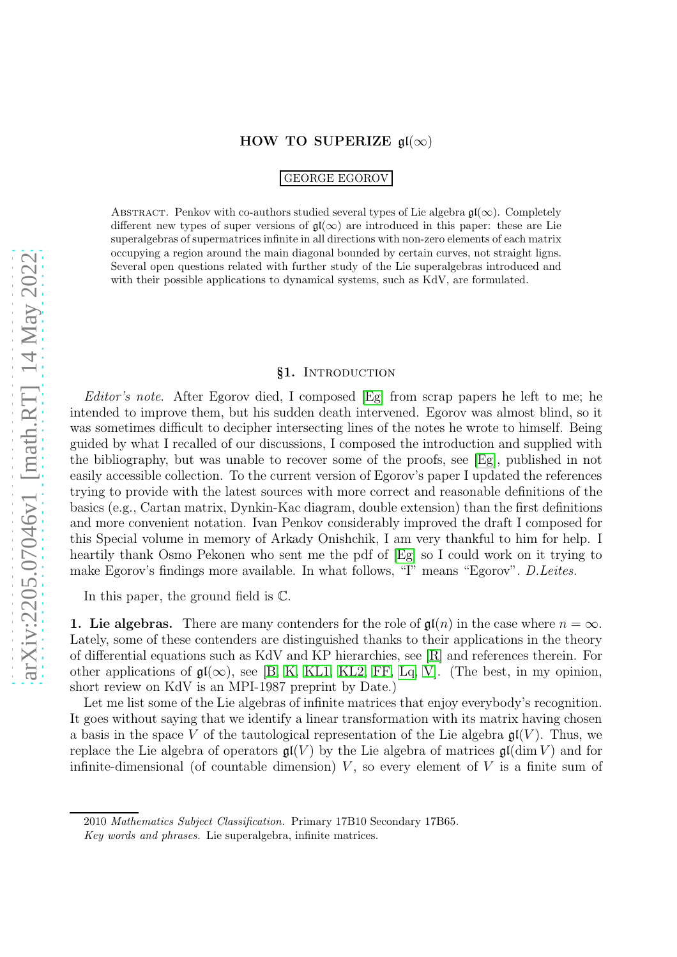## HOW TO SUPERIZE  $\mathfrak{gl}(\infty)$

GEORGE EGOROV

ABSTRACT. Penkov with co-authors studied several types of Lie algebra  $\mathfrak{gl}(\infty)$ . Completely different new types of super versions of  $\mathfrak{gl}(\infty)$  are introduced in this paper: these are Lie superalgebras of supermatrices infinite in all directions with non-zero elements of each matrix occupying a region around the main diagonal bounded by certain curves, not straight ligns. Several open questions related with further study of the Lie superalgebras introduced and with their possible applications to dynamical systems, such as KdV, are formulated.

#### §1. INTRODUCTION

*Editor's note*. After Egorov died, I composed [\[Eg\]](#page-13-0) from scrap papers he left to me; he intended to improve them, but his sudden death intervened. Egorov was almost blind, so it was sometimes difficult to decipher intersecting lines of the notes he wrote to himself. Being guided by what I recalled of our discussions, I composed the introduction and supplied with the bibliography, but was unable to recover some of the proofs, see [\[Eg\]](#page-13-0), published in not easily accessible collection. To the current version of Egorov's paper I updated the references trying to provide with the latest sources with more correct and reasonable definitions of the basics (e.g., Cartan matrix, Dynkin-Kac diagram, double extension) than the first definitions and more convenient notation. Ivan Penkov considerably improved the draft I composed for this Special volume in memory of Arkady Onishchik, I am very thankful to him for help. I heartily thank Osmo Pekonen who sent me the pdf of [\[Eg\]](#page-13-0) so I could work on it trying to make Egorov's findings more available. In what follows, "I" means "Egorov". *D.Leites.*

In this paper, the ground field is C.

**1. Lie algebras.** There are many contenders for the role of  $\mathfrak{gl}(n)$  in the case where  $n = \infty$ . Lately, some of these contenders are distinguished thanks to their applications in the theory of differential equations such as KdV and KP hierarchies, see [\[R\]](#page-14-0) and references therein. For other applications of  $\mathfrak{gl}(\infty)$ , see [\[B,](#page-13-1) [K,](#page-13-2) [KL1,](#page-13-3) [KL2,](#page-14-1) [FF,](#page-13-4) [Lq,](#page-14-2) [V\]](#page-14-3). (The best, in my opinion, short review on KdV is an MPI-1987 preprint by Date.)

Let me list some of the Lie algebras of infinite matrices that enjoy everybody's recognition. It goes without saying that we identify a linear transformation with its matrix having chosen a basis in the space V of the tautological representation of the Lie algebra  $\mathfrak{gl}(V)$ . Thus, we replace the Lie algebra of operators  $\mathfrak{gl}(V)$  by the Lie algebra of matrices  $\mathfrak{gl}(\dim V)$  and for infinite-dimensional (of countable dimension)  $V$ , so every element of  $V$  is a finite sum of

<sup>2010</sup> *Mathematics Subject Classification.* Primary 17B10 Secondary 17B65.

*Key words and phrases.* Lie superalgebra, infinite matrices.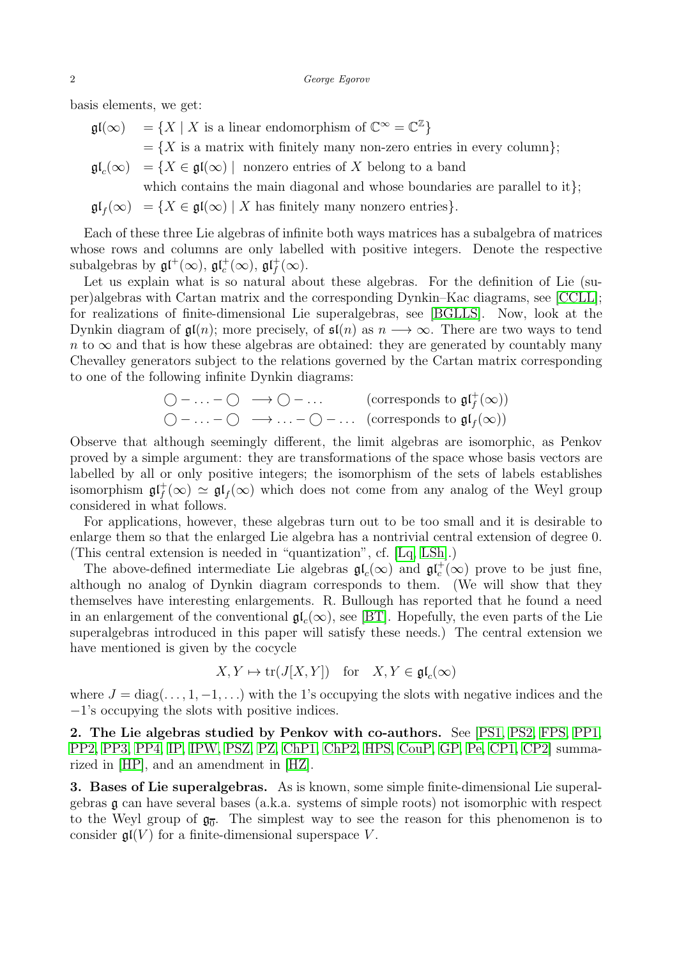basis elements, we get:

- $\mathfrak{gl}(\infty) = \{ X \mid X \text{ is a linear endomorphism of } \mathbb{C}^{\infty} = \mathbb{C}^{\mathbb{Z}} \}$ 
	- $=\{X \text{ is a matrix with finitely many non-zero entries in every column}\};$
- $\mathfrak{gl}_{c}(\infty)$  $=\{X\in\mathfrak{gl}(\infty)\mid\text{ nonzero entries of }X\text{ belong to a band }\}$
- which contains the main diagonal and whose boundaries are parallel to it};  $\mathfrak{gl}_f(\infty) = \{ X \in \mathfrak{gl}(\infty) \mid X \text{ has finitely many nonzero entries} \}.$

Each of these three Lie algebras of infinite both ways matrices has a subalgebra of matrices whose rows and columns are only labelled with positive integers. Denote the respective subalgebras by  $\mathfrak{gl}^+(\infty)$ ,  $\mathfrak{gl}^+_c(\infty)$ ,  $\mathfrak{gl}^+_f(\infty)$ .

Let us explain what is so natural about these algebras. For the definition of Lie (super)algebras with Cartan matrix and the corresponding Dynkin–Kac diagrams, see [\[CCLL\]](#page-13-5); for realizations of finite-dimensional Lie superalgebras, see [\[BGLLS\]](#page-13-6). Now, look at the Dynkin diagram of  $\mathfrak{gl}(n)$ ; more precisely, of  $\mathfrak{sl}(n)$  as  $n \longrightarrow \infty$ . There are two ways to tend  $n \to \infty$  and that is how these algebras are obtained: they are generated by countably many Chevalley generators subject to the relations governed by the Cartan matrix corresponding to one of the following infinite Dynkin diagrams:

$$
\bigcirc - \dots - \bigcirc \longrightarrow \bigcirc - \dots \qquad \text{(corresponds to } \mathfrak{gl}_f^+(\infty) \text{)}
$$
  

$$
\bigcirc - \dots - \bigcirc \longrightarrow \dots - \bigcirc - \dots \quad \text{(corresponds to } \mathfrak{gl}_f(\infty) \text{)}
$$

Observe that although seemingly different, the limit algebras are isomorphic, as Penkov proved by a simple argument: they are transformations of the space whose basis vectors are labelled by all or only positive integers; the isomorphism of the sets of labels establishes isomorphism  $\mathfrak{gl}_f^+(\infty) \simeq \mathfrak{gl}_f(\infty)$  which does not come from any analog of the Weyl group considered in what follows.

For applications, however, these algebras turn out to be too small and it is desirable to enlarge them so that the enlarged Lie algebra has a nontrivial central extension of degree 0. (This central extension is needed in "quantization", cf. [\[Lq,](#page-14-2) [LSh\]](#page-14-4).)

The above-defined intermediate Lie algebras  $\mathfrak{gl}_c(\infty)$  and  $\mathfrak{gl}_c^+(\infty)$  prove to be just fine, although no analog of Dynkin diagram corresponds to them. (We will show that they themselves have interesting enlargements. R. Bullough has reported that he found a need in an enlargement of the conventional  $\mathfrak{gl}_c(\infty)$ , see [\[BT\]](#page-13-7). Hopefully, the even parts of the Lie superalgebras introduced in this paper will satisfy these needs.) The central extension we have mentioned is given by the cocycle

$$
X, Y \mapsto \text{tr}(J[X, Y]) \quad \text{for} \quad X, Y \in \mathfrak{gl}_c(\infty)
$$

where  $J = diag(\ldots, 1, -1, \ldots)$  with the 1's occupying the slots with negative indices and the −1's occupying the slots with positive indices.

2. The Lie algebras studied by Penkov with co-authors. See [\[PS1,](#page-14-5) [PS2,](#page-14-6) [FPS,](#page-13-8) [PP1,](#page-14-7) [PP2,](#page-14-8) [PP3,](#page-14-9) [PP4,](#page-14-10) [IP,](#page-13-9) [IPW,](#page-13-10) [PSZ,](#page-14-11) [PZ,](#page-14-12) [ChP1,](#page-13-11) [ChP2,](#page-13-12) [HPS,](#page-13-13) [CouP,](#page-13-14) [GP,](#page-13-15) [Pe,](#page-14-13) [CP1,](#page-13-16) [CP2\]](#page-13-17) summarized in [\[HP\]](#page-13-18), and an amendment in [\[HZ\]](#page-13-19).

3. Bases of Lie superalgebras. As is known, some simple finite-dimensional Lie superalgebras g can have several bases (a.k.a. systems of simple roots) not isomorphic with respect to the Weyl group of  $\mathfrak{g}_{\overline{0}}$ . The simplest way to see the reason for this phenomenon is to consider  $\mathfrak{gl}(V)$  for a finite-dimensional superspace V.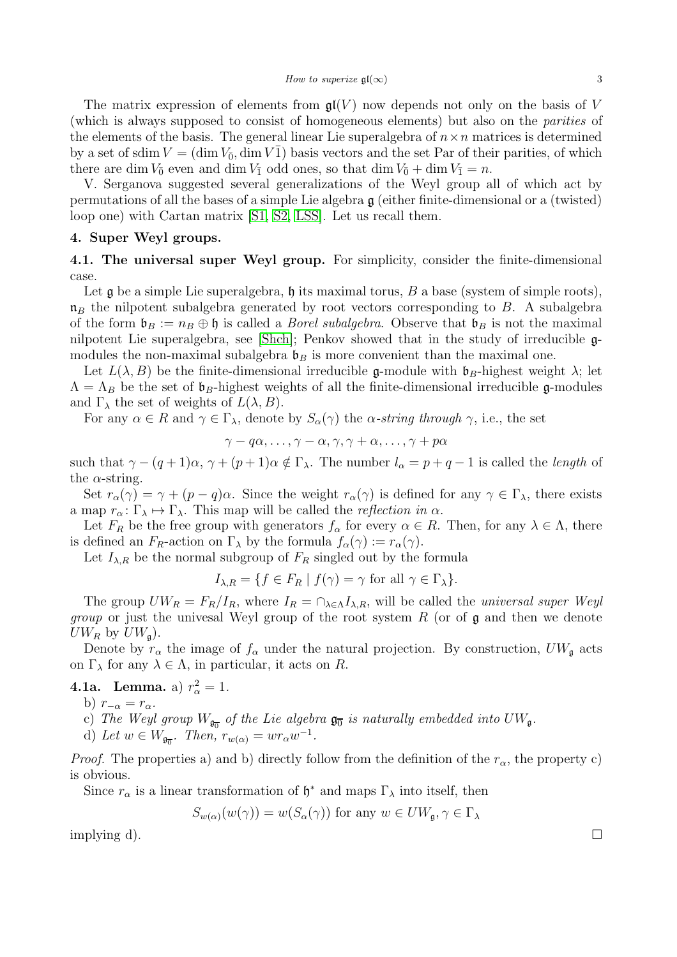The matrix expression of elements from  $\mathfrak{gl}(V)$  now depends not only on the basis of V (which is always supposed to consist of homogeneous elements) but also on the *parities* of the elements of the basis. The general linear Lie superalgebra of  $n \times n$  matrices is determined by a set of sdim  $V = (\dim V_0, \dim V_1)$  basis vectors and the set Par of their parities, of which there are dim  $V_{\bar{0}}$  even and dim  $V_{\bar{1}}$  odd ones, so that dim  $V_{\bar{0}} + \dim V_{\bar{1}} = n$ .

V. Serganova suggested several generalizations of the Weyl group all of which act by permutations of all the bases of a simple Lie algebra  $\mathfrak g$  (either finite-dimensional or a (twisted) loop one) with Cartan matrix [\[S1,](#page-14-14) [S2,](#page-14-15) [LSS\]](#page-14-16). Let us recall them.

## 4. Super Weyl groups.

4.1. The universal super Weyl group. For simplicity, consider the finite-dimensional case.

Let  $\mathfrak g$  be a simple Lie superalgebra,  $\mathfrak h$  its maximal torus,  $B$  a base (system of simple roots),  $\mathfrak{n}_B$  the nilpotent subalgebra generated by root vectors corresponding to B. A subalgebra of the form  $\mathfrak{b}_B := n_B \oplus \mathfrak{h}$  is called a *Borel subalgebra*. Observe that  $\mathfrak{b}_B$  is not the maximal nilpotent Lie superalgebra, see [\[Shch\]](#page-14-17); Penkov showed that in the study of irreducible gmodules the non-maximal subalgebra  $\mathfrak{b}_B$  is more convenient than the maximal one.

Let  $L(\lambda, B)$  be the finite-dimensional irreducible g-module with  $\mathfrak{b}_B$ -highest weight  $\lambda$ ; let  $\Lambda = \Lambda_B$  be the set of  $\mathfrak{b}_B$ -highest weights of all the finite-dimensional irreducible g-modules and  $\Gamma_{\lambda}$  the set of weights of  $L(\lambda, B)$ .

For any  $\alpha \in R$  and  $\gamma \in \Gamma_\lambda$ , denote by  $S_\alpha(\gamma)$  the  $\alpha$ -string through  $\gamma$ , i.e., the set

$$
\gamma - q\alpha, \ldots, \gamma - \alpha, \gamma, \gamma + \alpha, \ldots, \gamma + p\alpha
$$

such that  $\gamma - (q+1)\alpha$ ,  $\gamma + (p+1)\alpha \notin \Gamma_{\lambda}$ . The number  $l_{\alpha} = p+q-1$  is called the *length* of the  $\alpha$ -string.

Set  $r_{\alpha}(\gamma) = \gamma + (p - q)\alpha$ . Since the weight  $r_{\alpha}(\gamma)$  is defined for any  $\gamma \in \Gamma_{\lambda}$ , there exists a map  $r_{\alpha} : \Gamma_{\lambda} \mapsto \Gamma_{\lambda}$ . This map will be called the *reflection in*  $\alpha$ .

Let  $F_R$  be the free group with generators  $f_\alpha$  for every  $\alpha \in R$ . Then, for any  $\lambda \in \Lambda$ , there is defined an  $F_R$ -action on  $\Gamma_\lambda$  by the formula  $f_\alpha(\gamma) := r_\alpha(\gamma)$ .

Let  $I_{\lambda,R}$  be the normal subgroup of  $F_R$  singled out by the formula

$$
I_{\lambda,R} = \{ f \in F_R \mid f(\gamma) = \gamma \text{ for all } \gamma \in \Gamma_{\lambda} \}.
$$

The group  $U W_R = F_R/I_R$ , where  $I_R = \bigcap_{\lambda \in \Lambda} I_{\lambda,R}$ , will be called the *universal super Weyl group* or just the univesal Weyl group of the root system R (or of g and then we denote  $UW_R$  by  $UW_{\mathfrak{q}}$ ).

Denote by  $r_{\alpha}$  the image of  $f_{\alpha}$  under the natural projection. By construction,  $UW_{\mathfrak{g}}$  acts on  $\Gamma_{\lambda}$  for any  $\lambda \in \Lambda$ , in particular, it acts on R.

# **4.1a.** Lemma. a)  $r_{\alpha}^2 = 1$ .

- b)  $r_{-\alpha} = r_{\alpha}$ .
- c) The Weyl group  $W_{\mathfrak{g}_{\overline{0}}}$  of the Lie algebra  $\mathfrak{g}_{\overline{0}}$  is naturally embedded into  $UW_{\mathfrak{g}}$ .
- d) Let  $w \in W_{\mathfrak{g}_{\overline{0}}}$ . Then,  $r_{w(\alpha)} = wr_{\alpha}w^{-1}$ .

*Proof.* The properties a) and b) directly follow from the definition of the  $r_{\alpha}$ , the property c) is obvious.

Since  $r_{\alpha}$  is a linear transformation of  $\mathfrak{h}^*$  and maps  $\Gamma_{\lambda}$  into itself, then

$$
S_{w(\alpha)}(w(\gamma)) = w(S_{\alpha}(\gamma))
$$
 for any  $w \in UW_{\mathfrak{g}}, \gamma \in \Gamma_{\lambda}$ 

implying d).  $\square$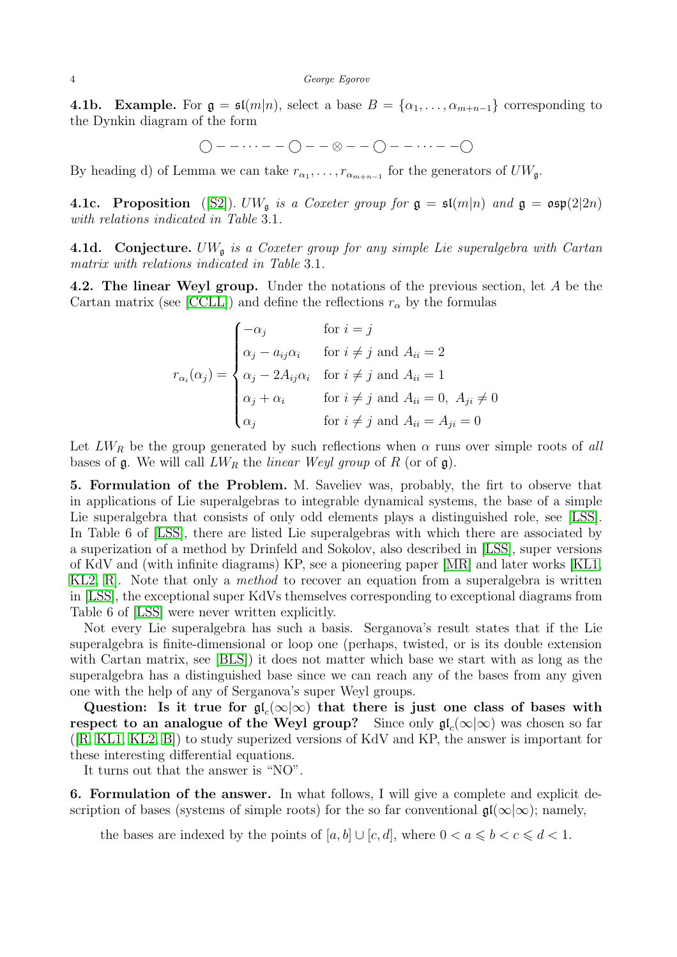#### 4 George Egorov

**4.1b.** Example. For  $\mathfrak{g} = \mathfrak{sl}(m|n)$ , select a base  $B = \{\alpha_1, \ldots, \alpha_{m+n-1}\}\)$  corresponding to the Dynkin diagram of the form

$$
\bigcirc--\cdots--\bigcirc--\otimes--\bigcirc--\cdots--\bigcirc
$$

By heading d) of Lemma we can take  $r_{\alpha_1}, \ldots, r_{\alpha_{m+n-1}}$  for the generators of  $U W_{\mathfrak{g}}$ .

4.1c. Proposition ([\[S2\]](#page-14-15)).  $U W_{\mathfrak{g}}$  *is a Coxeter group for*  $\mathfrak{g} = \mathfrak{sl}(m|n)$  *and*  $\mathfrak{g} = \mathfrak{osp}(2|2n)$ *with relations indicated in Table* 3.1*.*

4.1d. Conjecture. UW<sup>g</sup> *is a Coxeter group for any simple Lie superalgebra with Cartan matrix with relations indicated in Table* 3.1*.*

4.2. The linear Weyl group. Under the notations of the previous section, let A be the Cartan matrix (see [\[CCLL\]](#page-13-5)) and define the reflections  $r_{\alpha}$  by the formulas

$$
r_{\alpha_i}(\alpha_j) = \begin{cases}\n-\alpha_j & \text{for } i = j \\
\alpha_j - a_{ij}\alpha_i & \text{for } i \neq j \text{ and } A_{ii} = 2 \\
\alpha_j - 2A_{ij}\alpha_i & \text{for } i \neq j \text{ and } A_{ii} = 1 \\
\alpha_j + \alpha_i & \text{for } i \neq j \text{ and } A_{ii} = 0, \ A_{ji} \neq 0 \\
\alpha_j & \text{for } i \neq j \text{ and } A_{ii} = A_{ji} = 0\n\end{cases}
$$

Let  $LW_R$  be the group generated by such reflections when  $\alpha$  runs over simple roots of all bases of  $\mathfrak g$ . We will call  $LW_R$  the *linear Weyl group* of R (or of  $\mathfrak g$ ).

5. Formulation of the Problem. M. Saveliev was, probably, the firt to observe that in applications of Lie superalgebras to integrable dynamical systems, the base of a simple Lie superalgebra that consists of only odd elements plays a distinguished role, see [\[LSS\]](#page-14-16). In Table 6 of [\[LSS\]](#page-14-16), there are listed Lie superalgebras with which there are associated by a superization of a method by Drinfeld and Sokolov, also described in [\[LSS\]](#page-14-16), super versions of KdV and (with infinite diagrams) KP, see a pioneering paper [\[MR\]](#page-14-18) and later works [\[KL1,](#page-13-3) [KL2,](#page-14-1) [R\]](#page-14-0). Note that only a *method* to recover an equation from a superalgebra is written in [\[LSS\]](#page-14-16), the exceptional super KdVs themselves corresponding to exceptional diagrams from Table 6 of [\[LSS\]](#page-14-16) were never written explicitly.

Not every Lie superalgebra has such a basis. Serganova's result states that if the Lie superalgebra is finite-dimensional or loop one (perhaps, twisted, or is its double extension with Cartan matrix, see [\[BLS\]](#page-13-20)) it does not matter which base we start with as long as the superalgebra has a distinguished base since we can reach any of the bases from any given one with the help of any of Serganova's super Weyl groups.

Question: Is it true for  $\mathfrak{gl}_c(\infty|\infty)$  that there is just one class of bases with respect to an analogue of the Weyl group? Since only  $\mathfrak{gl}_{c}(\infty|\infty)$  was chosen so far ([\[R,](#page-14-0) [KL1,](#page-13-3) [KL2,](#page-14-1) [B\]](#page-13-1)) to study superized versions of KdV and KP, the answer is important for these interesting differential equations.

It turns out that the answer is "NO".

6. Formulation of the answer. In what follows, I will give a complete and explicit description of bases (systems of simple roots) for the so far conventional  $\mathfrak{gl}(\infty|\infty);$  namely,

the bases are indexed by the points of  $[a, b] \cup [c, d]$ , where  $0 < a \leq b < c \leq d < 1$ .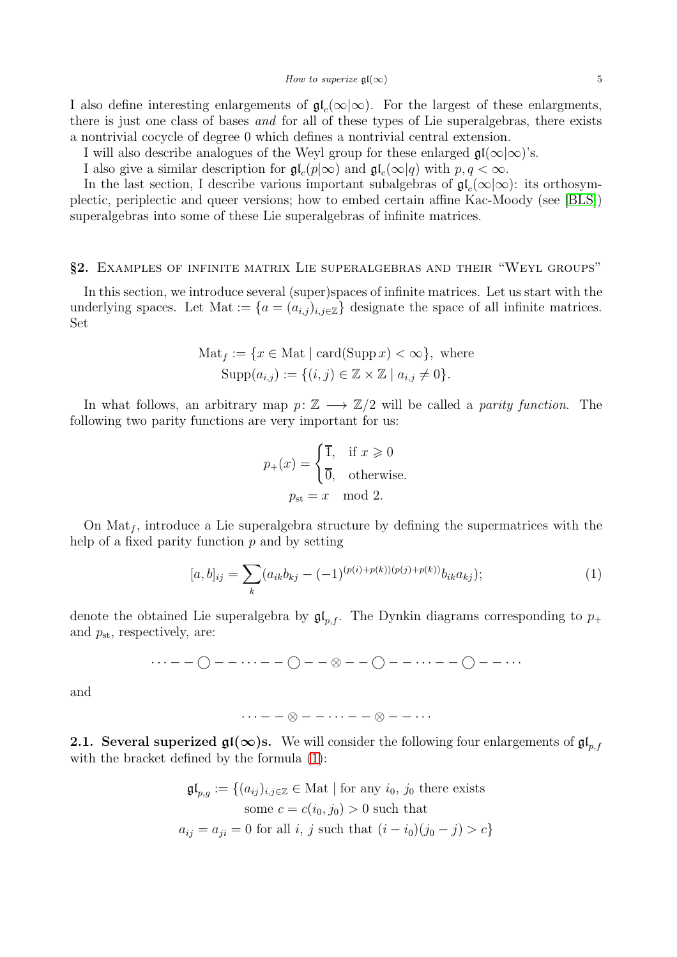I also define interesting enlargements of  $\mathfrak{gl}_c(\infty|\infty)$ . For the largest of these enlargments, there is just one class of bases *and* for all of these types of Lie superalgebras, there exists a nontrivial cocycle of degree 0 which defines a nontrivial central extension.

I will also describe analogues of the Weyl group for these enlarged  $\mathfrak{gl}(\infty) \infty$  's.

I also give a similar description for  $\mathfrak{gl}_c(p|\infty)$  and  $\mathfrak{gl}_c(\infty|q)$  with  $p, q < \infty$ .

In the last section, I describe various important subalgebras of  $\mathfrak{gl}_c(\infty|\infty)$ : its orthosymplectic, periplectic and queer versions; how to embed certain affine Kac-Moody (see [\[BLS\]](#page-13-20)) superalgebras into some of these Lie superalgebras of infinite matrices.

# §2. Examples of infinite matrix Lie superalgebras and their "Weyl groups"

In this section, we introduce several (super)spaces of infinite matrices. Let us start with the underlying spaces. Let Mat := { $a = (a_{i,j})_{i,j \in \mathbb{Z}}$ } designate the space of all infinite matrices. Set

$$
Mat_f := \{ x \in Mat \mid \operatorname{card}(\operatorname{Supp} x) < \infty \}, \text{ where}
$$
\n
$$
\operatorname{Supp}(a_{i,j}) := \{ (i,j) \in \mathbb{Z} \times \mathbb{Z} \mid a_{i,j} \neq 0 \}.
$$

In what follows, an arbitrary map  $p: \mathbb{Z} \longrightarrow \mathbb{Z}/2$  will be called a *parity function*. The following two parity functions are very important for us:

$$
p_{+}(x) = \begin{cases} \overline{1}, & \text{if } x \geq 0 \\ \overline{0}, & \text{otherwise.} \end{cases}
$$
  

$$
p_{\text{st}} = x \mod 2.
$$

On  $\text{Mat}_f$ , introduce a Lie superalgebra structure by defining the supermatrices with the help of a fixed parity function  $p$  and by setting

<span id="page-4-0"></span>
$$
[a,b]_{ij} = \sum_{k} (a_{ik}b_{kj} - (-1)^{(p(i)+p(k))(p(j)+p(k))}b_{ik}a_{kj});
$$
\n(1)

denote the obtained Lie superalgebra by  $\mathfrak{gl}_{p,f}$ . The Dynkin diagrams corresponding to  $p_+$ and  $p_{\rm st}$ , respectively, are:

$$
\cdots--\bigcirc-\cdots--\bigcirc-\cdots--\bigcirc--\cdots--\bigcirc-\cdots--\bigcirc-\cdots.
$$

and

$$
\cdots--\otimes--\cdots--\otimes--\cdots
$$

2.1. Several superized  $\mathfrak{gl}(\infty)$ s. We will consider the following four enlargements of  $\mathfrak{gl}_{p,f}$ with the bracket defined by the formula [\(1\)](#page-4-0):

$$
\mathfrak{gl}_{p,g} := \{(a_{ij})_{i,j \in \mathbb{Z}} \in \text{Mat} \mid \text{for any } i_0, j_0 \text{ there exists}
$$
  
some  $c = c(i_0, j_0) > 0$  such that  

$$
a_{ij} = a_{ji} = 0 \text{ for all } i, j \text{ such that } (i - i_0)(j_0 - j) > c\}
$$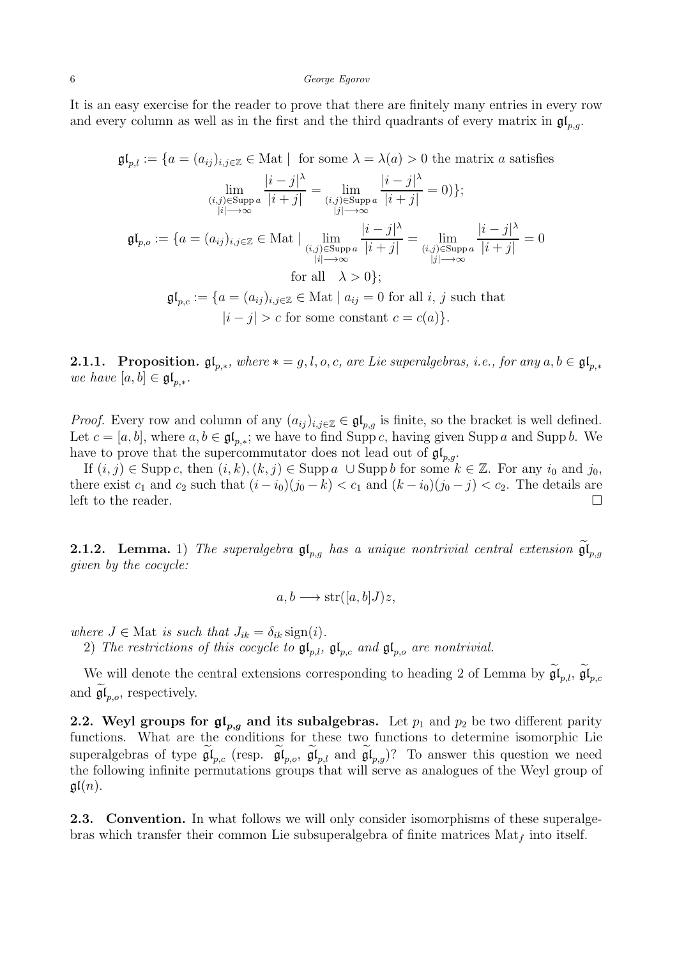It is an easy exercise for the reader to prove that there are finitely many entries in every row and every column as well as in the first and the third quadrants of every matrix in  $\mathfrak{gl}_{p,q}$ .

$$
\mathfrak{gl}_{p,l} := \{ a = (a_{ij})_{i,j \in \mathbb{Z}} \in \text{Mat} \mid \text{ for some } \lambda = \lambda(a) > 0 \text{ the matrix } a \text{ satisfies}
$$
\n
$$
\lim_{\substack{(i,j) \in \text{Supp } a \\ |i| \to \infty}} \frac{|i-j|^\lambda}{|i+j|} = \lim_{\substack{(i,j) \in \text{Supp } a \\ |j| \to \infty}} \frac{|i-j|^\lambda}{|i+j|} = 0) \};
$$
\n
$$
\mathfrak{gl}_{p,o} := \{ a = (a_{ij})_{i,j \in \mathbb{Z}} \in \text{Mat} \mid \lim_{\substack{(i,j) \in \text{Supp } a \\ |i| \to \infty}} \frac{|i-j|^\lambda}{|i+j|} = \lim_{\substack{(i,j) \in \text{Supp } a \\ |j| \to \infty}} \frac{|i-j|^\lambda}{|i+j|} = 0
$$
\n
$$
\text{for all } \lambda > 0 \};
$$
\n
$$
\mathfrak{gl}_{p,c} := \{ a = (a_{ij})_{i,j \in \mathbb{Z}} \in \text{Mat} \mid a_{ij} = 0 \text{ for all } i, j \text{ such that}
$$
\n
$$
|i-j| > c \text{ for some constant } c = c(a) \}.
$$

**2.1.1.** Proposition.  $\mathfrak{gl}_{p,*}$ , where  $* = g, l, o, c$ , are Lie superalgebras, i.e., for any  $a, b \in \mathfrak{gl}_{p,*}$ *we have*  $[a, b] \in \mathfrak{gl}_{p,*}.$ 

*Proof.* Every row and column of any  $(a_{ij})_{i,j\in\mathbb{Z}} \in \mathfrak{gl}_{p,q}$  is finite, so the bracket is well defined. Let  $c = [a, b]$ , where  $a, b \in \mathfrak{gl}_{p,*}$ ; we have to find Supp c, having given Supp a and Supp b. We have to prove that the supercommutator does not lead out of  $\mathfrak{gl}_{n,q}$ .

If  $(i, j) \in \text{Supp } c$ , then  $(i, k), (k, j) \in \text{Supp } a \cup \text{Supp } b$  for some  $k \in \mathbb{Z}$ . For any  $i_0$  and  $j_0$ , there exist  $c_1$  and  $c_2$  such that  $(i - i_0)(j_0 - k) < c_1$  and  $(k - i_0)(j_0 - j) < c_2$ . The details are left to the reader.  $\Box$ 

**2.1.2.** Lemma. 1) The superalgebra  $\mathfrak{gl}_{p,g}$  has a unique nontrivial central extension  $\mathfrak{gl}_{p,g}$ *given by the cocycle:*

$$
a, b \longrightarrow \operatorname{str}([a, b]J)z,
$$

*where*  $J \in$  Mat *is such that*  $J_{ik} = \delta_{ik}$  sign(*i*).

2) The restrictions of this cocycle to  $\mathfrak{gl}_{p,l}$ ,  $\mathfrak{gl}_{p,c}$  and  $\mathfrak{gl}_{p,o}$  are nontrivial.

We will denote the central extensions corresponding to heading 2 of Lemma by  $\mathfrak{gl}_{p,l}$ ,  $\mathfrak{gl}_{p,c}$ and  $\mathfrak{gl}_{p,o}$ , respectively.

**2.2. Weyl groups for**  $\mathfrak{gl}_{p,g}$  **and its subalgebras.** Let  $p_1$  and  $p_2$  be two different parity functions. What are the conditions for these two functions to determine isomorphic Lie superalgebras of type  $\mathfrak{gl}_{p,c}$  (resp.  $\mathfrak{gl}_{p,o}$ ,  $\mathfrak{gl}_{p,l}$  and  $\mathfrak{gl}_{p,g}$ )? To answer this question we need the following infinite permutations groups that will serve as analogues of the Weyl group of  $\mathfrak{gl}(n)$ .

**2.3. Convention.** In what follows we will only consider isomorphisms of these superalgebras which transfer their common Lie subsuperalgebra of finite matrices  $\text{Mat}_f$  into itself.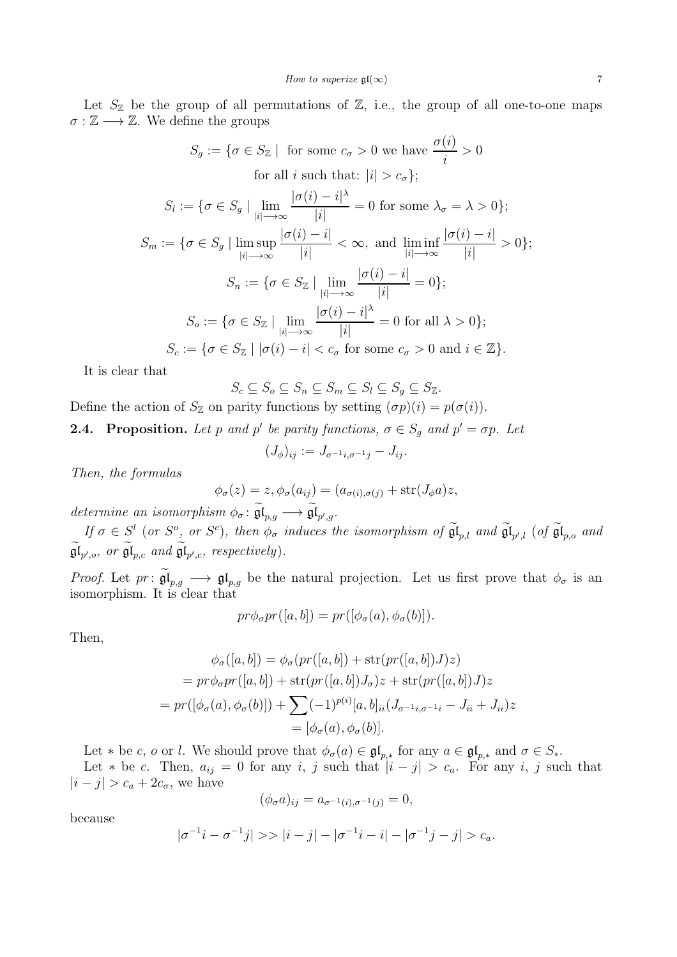Let  $S_{\mathbb{Z}}$  be the group of all permutations of  $\mathbb{Z}$ , i.e., the group of all one-to-one maps  $\sigma : \mathbb{Z} \longrightarrow \mathbb{Z}$ . We define the groups

$$
S_g := \{ \sigma \in S_{\mathbb{Z}} \mid \text{ for some } c_{\sigma} > 0 \text{ we have } \frac{\sigma(i)}{i} > 0
$$
  
for all  $i$  such that:  $|i| > c_{\sigma} \};$   

$$
S_l := \{ \sigma \in S_g \mid \lim_{|i| \to \infty} \frac{|\sigma(i) - i|^{\lambda}}{|i|} = 0 \text{ for some } \lambda_{\sigma} = \lambda > 0 \};
$$
  

$$
S_m := \{ \sigma \in S_g \mid \limsup_{|i| \to \infty} \frac{|\sigma(i) - i|}{|i|} < \infty, \text{ and } \liminf_{|i| \to \infty} \frac{|\sigma(i) - i|}{|i|} > 0 \};
$$
  

$$
S_n := \{ \sigma \in S_{\mathbb{Z}} \mid \lim_{|i| \to \infty} \frac{|\sigma(i) - i|}{|i|} = 0 \};
$$
  

$$
S_o := \{ \sigma \in S_{\mathbb{Z}} \mid \lim_{|i| \to \infty} \frac{|\sigma(i) - i|^{\lambda}}{|i|} = 0 \text{ for all } \lambda > 0 \};
$$
  

$$
S_c := \{ \sigma \in S_{\mathbb{Z}} \mid |\sigma(i) - i| < c_{\sigma} \text{ for some } c_{\sigma} > 0 \text{ and } i \in \mathbb{Z} \}.
$$

It is clear that

$$
S_c \subseteq S_o \subseteq S_n \subseteq S_m \subseteq S_l \subseteq S_g \subseteq S_{\mathbb{Z}}.
$$

Define the action of  $S_{\mathbb{Z}}$  on parity functions by setting  $(\sigma p)(i) = p(\sigma(i))$ .

**2.4.** Proposition. Let p and p' be parity functions,  $\sigma \in S_g$  and  $p' = \sigma p$ . Let

$$
(J_{\phi})_{ij} := J_{\sigma^{-1}i, \sigma^{-1}j} - J_{ij}.
$$

*Then, the formulas*

$$
\phi_{\sigma}(z) = z, \phi_{\sigma}(a_{ij}) = (a_{\sigma(i), \sigma(j)} + \text{str}(J_{\phi}a)z,
$$

determine an isomorphism  $\phi_{\sigma} : \mathfrak{gl}_{p,g} \longrightarrow \mathfrak{gl}_{p',g}.$ 

 $If \sigma \in S^l$  (or  $S^o$ , or  $S^c$ ), then  $\phi_\sigma$  induces the isomorphism of  $\mathfrak{gl}_{p,l}$  and  $\mathfrak{gl}_{p',l}$  (of  $\mathfrak{gl}_{p,o}$  and  $\mathfrak{gl}_{p',o}, \text{ or } \mathfrak{gl}_{p,c} \text{ and } \mathfrak{gl}_{p',c}, \text{ respectively}.$ 

*Proof.* Let  $pr: \mathfrak{gl}_{p,g} \longrightarrow \mathfrak{gl}_{p,g}$  be the natural projection. Let us first prove that  $\phi_{\sigma}$  is an isomorphism. It is clear that

$$
pr\phi_{\sigma}pr([a,b]) = pr([\phi_{\sigma}(a), \phi_{\sigma}(b)]).
$$

Then,

$$
\phi_{\sigma}([a, b]) = \phi_{\sigma}(pr([a, b]) + \text{str}(pr([a, b])J)z)
$$
  
=  $pr\phi_{\sigma}pr([a, b]) + \text{str}(pr([a, b])J_{\sigma})z + \text{str}(pr([a, b])J)z$   
=  $pr([\phi_{\sigma}(a), \phi_{\sigma}(b)]) + \sum_{i=1}^{p(i)} [-1)^{p(i)}[a, b]_{ii}(J_{\sigma^{-1}i, \sigma^{-1}i} - J_{ii} + J_{ii})z$   
=  $[\phi_{\sigma}(a), \phi_{\sigma}(b)].$ 

Let  $*$  be c, o or l. We should prove that  $\phi_{\sigma}(a) \in \mathfrak{gl}_{p,*}$  for any  $a \in \mathfrak{gl}_{p,*}$  and  $\sigma \in S_*$ .

Let \* be c. Then,  $a_{ij} = 0$  for any i, j such that  $|i - j| > c_a$ . For any i, j such that  $|i - j| > c_a + 2c_\sigma$ , we have

$$
(\phi_{\sigma}a)_{ij} = a_{\sigma^{-1}(i),\sigma^{-1}(j)} = 0,
$$

because

$$
|\sigma^{-1}i - \sigma^{-1}j| \gg |i - j| - |\sigma^{-1}i - i| - |\sigma^{-1}j - j| > c_a.
$$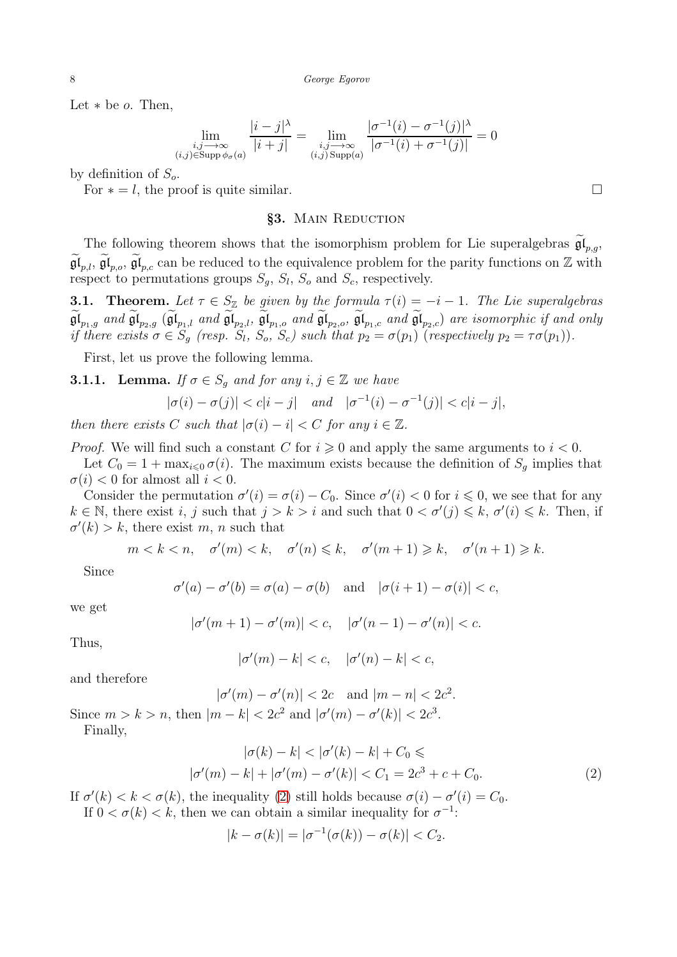Let  $*$  be  $o$ . Then,

$$
\lim_{\substack{i,j \to \infty \\ (i,j) \in \text{Supp } \phi_{\sigma}(a)}} \frac{|i-j|^{\lambda}}{|i+j|} = \lim_{\substack{i,j \to \infty \\ (i,j) \text{ Supp}(a)}} \frac{|\sigma^{-1}(i) - \sigma^{-1}(j)|^{\lambda}}{|\sigma^{-1}(i) + \sigma^{-1}(j)|} = 0
$$

by definition of  $S_o$ .

For  $* = l$ , the proof is quite similar.

### §3. Main Reduction

The following theorem shows that the isomorphism problem for Lie superalgebras  $\mathfrak{gl}_{p,g}$ ,  $\mathfrak{gl}_{p,l}$ ,  $\mathfrak{gl}_{p,o}$ ,  $\mathfrak{gl}_{p,c}$  can be reduced to the equivalence problem for the parity functions on Z with respect to permutations groups  $S_g$ ,  $S_l$ ,  $S_o$  and  $S_c$ , respectively.

**3.1. Theorem.** Let  $\tau \in S_{\mathbb{Z}}$  be given by the formula  $\tau(i) = -i - 1$ . The Lie superalgebras  $\mathfrak{gl}_{p_1,g}$  and  $\mathfrak{gl}_{p_2,g}$   $(\mathfrak{gl}_{p_1,l}$  and  $\mathfrak{gl}_{p_2,l}$ ,  $\mathfrak{gl}_{p_1,o}$  and  $\mathfrak{gl}_{p_2,o}$ ,  $\mathfrak{gl}_{p_1,c}$  and  $\mathfrak{gl}_{p_2,c}$ ) are isomorphic if and only *if there exists*  $\sigma \in S_g$  (*resp.*  $S_l$ ,  $S_o$ ,  $S_c$ ) such that  $p_2 = \sigma(p_1)$  (*respectively*  $p_2 = \tau \sigma(p_1)$ ).

<span id="page-7-1"></span>First, let us prove the following lemma.

**3.1.1.** Lemma. *If*  $\sigma \in S_q$  *and for any*  $i, j \in \mathbb{Z}$  *we have* 

$$
|\sigma(i) - \sigma(j)| < c|i - j|
$$
 and  $|\sigma^{-1}(i) - \sigma^{-1}(j)| < c|i - j|$ ,

*then there exists* C *such that*  $|\sigma(i) - i| < C$  *for any*  $i \in \mathbb{Z}$ *.* 

*Proof.* We will find such a constant C for  $i \geq 0$  and apply the same arguments to  $i < 0$ .

Let  $C_0 = 1 + \max_{i \leq 0} \sigma(i)$ . The maximum exists because the definition of  $S_g$  implies that  $\sigma(i) < 0$  for almost all  $i < 0$ .

Consider the permutation  $\sigma'(i) = \sigma(i) - C_0$ . Since  $\sigma'(i) < 0$  for  $i \leq 0$ , we see that for any  $k \in \mathbb{N}$ , there exist i, j such that  $j > k > i$  and such that  $0 < \sigma'(j) \leq k$ ,  $\sigma'(i) \leq k$ . Then, if  $\sigma'(k) > k$ , there exist m, n such that

$$
m < k < n, \quad \sigma'(m) < k, \quad \sigma'(n) \leq k, \quad \sigma'(m+1) \geq k, \quad \sigma'(n+1) \geq k.
$$

Since

$$
\sigma'(a) - \sigma'(b) = \sigma(a) - \sigma(b) \quad \text{and} \quad |\sigma(i+1) - \sigma(i)| < c,
$$

we get

$$
|\sigma'(m+1) - \sigma'(m)| < c
$$
,  $|\sigma'(n-1) - \sigma'(n)| < c$ .

Thus,

$$
|\sigma'(m) - k| < c, \quad |\sigma'(n) - k| < c,
$$

and therefore

$$
|\sigma'(m) - \sigma'(n)| < 2c \quad \text{and } |m - n| < 2c^2
$$

Since  $m > k > n$ , then  $|m - k| < 2c^2$  and  $|\sigma'(m) - \sigma'(k)| < 2c^3$ .

Finally,

$$
|\sigma(k) - k| < |\sigma'(k) - k| + C_0 \le
$$
  

$$
|\sigma'(m) - k| + |\sigma'(m) - \sigma'(k)| < C_1 = 2c^3 + c + C_0.
$$
 (2)

<span id="page-7-0"></span>.

If  $\sigma'(k) < k < \sigma(k)$ , the inequality [\(2\)](#page-7-0) still holds because  $\sigma(i) - \sigma'(i) = C_0$ . If  $0 < \sigma(k) < k$ , then we can obtain a similar inequality for  $\sigma^{-1}$ :

$$
|k - \sigma(k)| = |\sigma^{-1}(\sigma(k)) - \sigma(k)| < C_2.
$$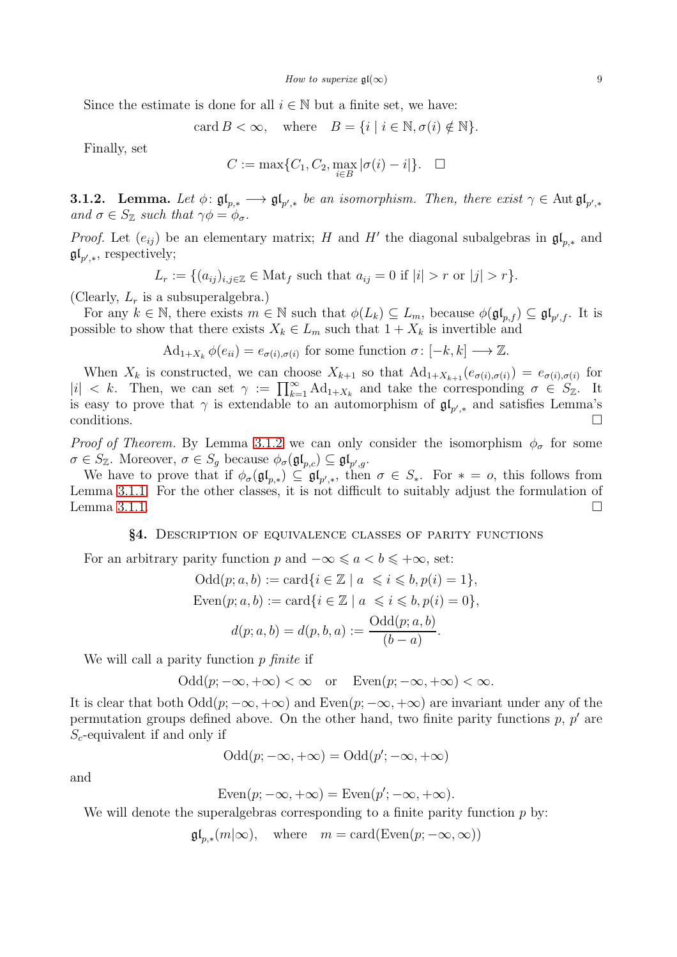Since the estimate is done for all  $i \in \mathbb{N}$  but a finite set, we have:

card 
$$
B < \infty
$$
, where  $B = \{i \mid i \in \mathbb{N}, \sigma(i) \notin \mathbb{N}\}.$ 

Finally, set

$$
C := \max\{C_1, C_2, \max_{i \in B} |\sigma(i) - i|\}. \quad \Box
$$

<span id="page-8-0"></span>**3.1.2.** Lemma. Let  $\phi: \mathfrak{gl}_{p,*} \longrightarrow \mathfrak{gl}_{p',*}$  be an isomorphism. Then, there exist  $\gamma \in \text{Aut } \mathfrak{gl}_{p',*}$ *and*  $\sigma \in S_{\mathbb{Z}}$  *such that*  $\gamma \phi = \phi_{\sigma}$ *.* 

*Proof.* Let  $(e_{ij})$  be an elementary matrix; H and H' the diagonal subalgebras in  $\mathfrak{gl}_{p,*}$  and  $\mathfrak{gl}_{p',*}$ , respectively;

 $L_r := \{(a_{ij})_{i,j\in\mathbb{Z}} \in \text{Mat}_f \text{ such that } a_{ij} = 0 \text{ if } |i| > r \text{ or } |j| > r\}.$ 

(Clearly,  $L_r$  is a subsuperalgebra.)

For any  $k \in \mathbb{N}$ , there exists  $m \in \mathbb{N}$  such that  $\phi(L_k) \subseteq L_m$ , because  $\phi(\mathfrak{gl}_{p,f}) \subseteq \mathfrak{gl}_{p',f}$ . It is possible to show that there exists  $X_k \in L_m$  such that  $1 + X_k$  is invertible and

 $\mathrm{Ad}_{1+X_k} \phi(e_{ii}) = e_{\sigma(i),\sigma(i)}$  for some function  $\sigma: [-k,k] \longrightarrow \mathbb{Z}$ .

When  $X_k$  is constructed, we can choose  $X_{k+1}$  so that  $\text{Ad}_{1+X_{k+1}}(e_{\sigma(i),\sigma(i)}) = e_{\sigma(i),\sigma(i)}$  for  $|i| < k$ . Then, we can set  $\gamma := \prod_{k=1}^{\infty} \text{Ad}_{1+X_k}$  and take the corresponding  $\sigma \in S_{\mathbb{Z}}$ . It is easy to prove that  $\gamma$  is extendable to an automorphism of  $\mathfrak{gl}_{p',*}$  and satisfies Lemma's conditions.  $\Box$ 

*Proof of Theorem.* By Lemma [3.1.2](#page-8-0) we can only consider the isomorphism  $\phi_{\sigma}$  for some  $\sigma \in S_{\mathbb{Z}}$ . Moreover,  $\sigma \in S_g$  because  $\phi_{\sigma}(\mathfrak{gl}_{p,c}) \subseteq \mathfrak{gl}_{p',g}$ .

We have to prove that if  $\phi_{\sigma}(\mathfrak{gl}_{p,*}) \subseteq \mathfrak{gl}_{p',*}$ , then  $\sigma \in S_*$ . For  $* = o$ , this follows from Lemma [3.1.1.](#page-7-1) For the other classes, it is not difficult to suitably adjust the formulation of Lemma [3.1.1.](#page-7-1)  $\square$ 

#### §4. Description of equivalence classes of parity functions

For an arbitrary parity function p and  $-\infty \leq a < b \leq +\infty$ , set:

$$
Odd(p; a, b) := card\{i \in \mathbb{Z} \mid a \leq i \leq b, p(i) = 1\},
$$
  
\n
$$
Even(p; a, b) := card\{i \in \mathbb{Z} \mid a \leq i \leq b, p(i) = 0\},
$$
  
\n
$$
d(p; a, b) = d(p, b, a) := \frac{Odd(p; a, b)}{(b - a)}.
$$

We will call a parity function p *finite* if

$$
\mathrm{Odd}(p;-\infty,+\infty)<\infty\quad\text{or}\quad\mathrm{Even}(p;-\infty,+\infty)<\infty.
$$

It is clear that both  $Odd(p; -\infty, +\infty)$  and  $Even(p; -\infty, +\infty)$  are invariant under any of the permutation groups defined above. On the other hand, two finite parity functions  $p, p'$  are  $S_c$ -equivalent if and only if

$$
Odd(p; -\infty, +\infty) = Odd(p'; -\infty, +\infty)
$$

and

$$
Even(p; -\infty, +\infty) = Even(p'; -\infty, +\infty).
$$

We will denote the superalgebras corresponding to a finite parity function  $p$  by:

 $\mathfrak{gl}_{p,*}(m|\infty)$ , where  $m = \text{card}(\text{Even}(p; -\infty, \infty))$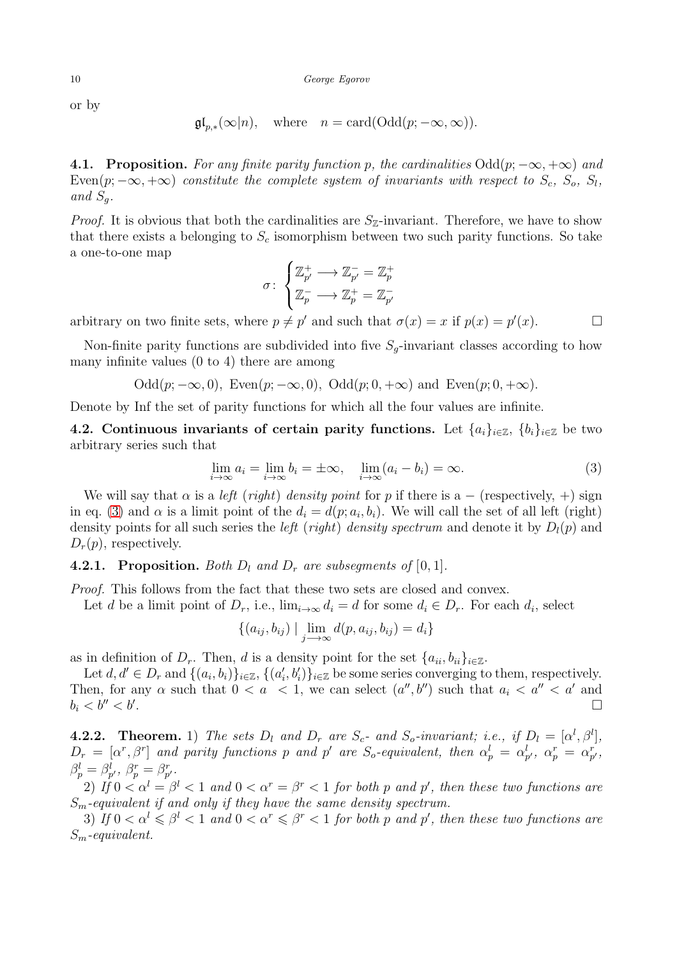or by

$$
\mathfrak{gl}_{p,*}(\infty|n), \quad \text{where} \quad n = \text{card}(\text{Odd}(p; -\infty, \infty)).
$$

4.1. Proposition. *For any finite parity function* p, the cardinalities  $Odd(p; -\infty, +\infty)$  and  $Even(p; -\infty, +\infty)$  *constitute the complete system of invariants with respect to*  $S_c$ ,  $S_o$ ,  $S_l$ , and  $S_a$ .

*Proof.* It is obvious that both the cardinalities are  $S_{\mathbb{Z}}$ -invariant. Therefore, we have to show that there exists a belonging to  $S_c$  isomorphism between two such parity functions. So take a one-to-one map

$$
\sigma\colon\begin{cases} \mathbb{Z}_{p'}^+\longrightarrow\mathbb{Z}_{p'}^-=\mathbb{Z}_p^+\\\mathbb{Z}_p^-\longrightarrow\mathbb{Z}_p^+=\mathbb{Z}_{p'}^- \end{cases}
$$

arbitrary on two finite sets, where  $p \neq p'$  and such that  $\sigma(x) = x$  if  $p(x) = p'(x)$ .

Non-finite parity functions are subdivided into five  $S_g$ -invariant classes according to how many infinite values (0 to 4) there are among

Odd $(p; -\infty, 0)$ , Even $(p; -\infty, 0)$ , Odd $(p; 0, +\infty)$  and Even $(p; 0, +\infty)$ .

Denote by Inf the set of parity functions for which all the four values are infinite.

4.2. Continuous invariants of certain parity functions. Let  $\{a_i\}_{i\in\mathbb{Z}}$ ,  $\{b_i\}_{i\in\mathbb{Z}}$  be two arbitrary series such that

<span id="page-9-0"></span>
$$
\lim_{i \to \infty} a_i = \lim_{i \to \infty} b_i = \pm \infty, \quad \lim_{i \to \infty} (a_i - b_i) = \infty.
$$
\n(3)

We will say that  $\alpha$  is a *left* (*right*) *density point* for p if there is a – (respectively, +) sign in eq. [\(3\)](#page-9-0) and  $\alpha$  is a limit point of the  $d_i = d(p; a_i, b_i)$ . We will call the set of all left (right) density points for all such series the *left* (*right*) *density spectrum* and denote it by  $D_l(p)$  and  $D_r(p)$ , respectively.

# **4.2.1. Proposition.** Both  $D_l$  and  $D_r$  are subsequents of [0,1].

*Proof.* This follows from the fact that these two sets are closed and convex.

Let d be a limit point of  $D_r$ , i.e.,  $\lim_{i\to\infty} d_i = d$  for some  $d_i \in D_r$ . For each  $d_i$ , select

$$
\{(a_{ij}, b_{ij}) \mid \lim_{j \to \infty} d(p, a_{ij}, b_{ij}) = d_i\}
$$

as in definition of  $D_r$ . Then, d is a density point for the set  $\{a_{ii}, b_{ii}\}_{i\in\mathbb{Z}}$ .

Let  $d, d' \in D_r$  and  $\{(a_i, b_i)\}_{i \in \mathbb{Z}}$ ,  $\{(a'_i, b'_i)\}_{i \in \mathbb{Z}}$  be some series converging to them, respectively. Then, for any  $\alpha$  such that  $0 < a < 1$ , we can select  $(a'', b'')$  such that  $a_i < a'' < a'$  and  $b_i < b'' < b'$ . . The contract of the contract of the contract of the contract of the contract of  $\Box$ 

**4.2.2.** Theorem. 1) The sets  $D_l$  and  $D_r$  are  $S_c$ - and  $S_o$ -invariant; i.e., if  $D_l = [\alpha^l, \beta^l]$ ,  $D_r = [\alpha^r, \beta^r]$  and parity functions p and p' are  $S_o$ -equivalent, then  $\alpha_p^l = \alpha_{p'}^l$ ,  $\alpha_p^r = \alpha_{p'}^r$ ,  $\beta_p^l = \beta_{p'}^l$ ,  $\beta_p^r = \beta_{p'}^r$ .

2) If  $0 < \alpha^l = \beta^l < 1$  and  $0 < \alpha^r = \beta^r < 1$  for both p and p', then these two functions are Sm*-equivalent if and only if they have the same density spectrum.*

3) If  $0 < \alpha^l \leq \beta^l < 1$  and  $0 < \alpha^r \leq \beta^r < 1$  for both p and p', then these two functions are Sm*-equivalent.*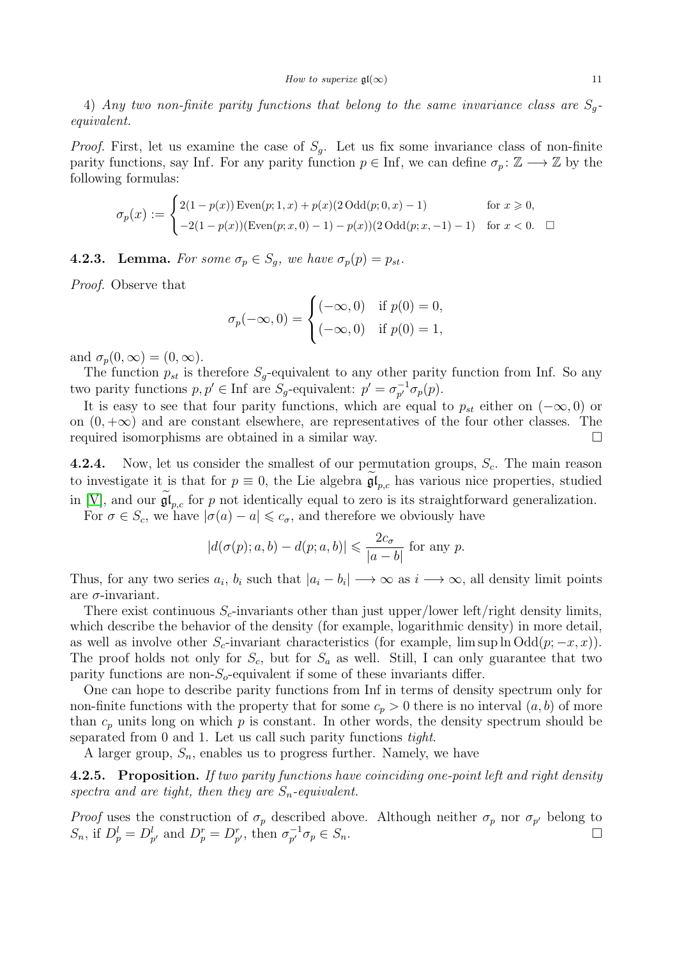4) *Any two non-finite parity functions that belong to the same invariance class are* Sg*equivalent.*

*Proof.* First, let us examine the case of  $S_q$ . Let us fix some invariance class of non-finite parity functions, say Inf. For any parity function  $p \in \text{Inf}$ , we can define  $\sigma_p : \mathbb{Z} \longrightarrow \mathbb{Z}$  by the following formulas:

$$
\sigma_p(x) := \begin{cases} 2(1 - p(x)) \operatorname{Even}(p; 1, x) + p(x)(2 \operatorname{Odd}(p; 0, x) - 1) & \text{for } x \geq 0, \\ -2(1 - p(x)) (\operatorname{Even}(p; x, 0) - 1) - p(x))(2 \operatorname{Odd}(p; x, -1) - 1) & \text{for } x < 0. \end{cases}
$$

**4.2.3. Lemma.** For some  $\sigma_p \in S_q$ , we have  $\sigma_p(p) = p_{st}$ .

*Proof.* Observe that

$$
\sigma_p(-\infty, 0) = \begin{cases}\n(-\infty, 0) & \text{if } p(0) = 0, \\
(-\infty, 0) & \text{if } p(0) = 1,\n\end{cases}
$$

and  $\sigma_p(0,\infty) = (0,\infty)$ .

The function  $p_{st}$  is therefore  $S_q$ -equivalent to any other parity function from Inf. So any two parity functions  $p, p' \in \text{Inf}$  are  $S_g$ -equivalent:  $p' = \sigma_{p'}^{-1}$  $_{p'}^{-1} \sigma_p(p)$ .

It is easy to see that four parity functions, which are equal to  $p_{st}$  either on  $(-\infty, 0)$  or on  $(0, +\infty)$  and are constant elsewhere, are representatives of the four other classes. The required isomorphisms are obtained in a similar way.

**4.2.4.** Now, let us consider the smallest of our permutation groups,  $S_c$ . The main reason to investigate it is that for  $p \equiv 0$ , the Lie algebra  $\mathfrak{gl}_{p,c}$  has various nice properties, studied in [\[V\]](#page-14-3), and our  $\mathfrak{gl}_{p,c}$  for p not identically equal to zero is its straightforward generalization.

For  $\sigma \in S_c$ , we have  $|\sigma(a) - a| \leq c_{\sigma}$ , and therefore we obviously have

$$
|d(\sigma(p); a, b) - d(p; a, b)| \leq \frac{2c_{\sigma}}{|a - b|}
$$
 for any p.

Thus, for any two series  $a_i$ ,  $b_i$  such that  $|a_i - b_i| \to \infty$  as  $i \to \infty$ , all density limit points are  $\sigma$ -invariant.

There exist continuous  $S_c$ -invariants other than just upper/lower left/right density limits, which describe the behavior of the density (for example, logarithmic density) in more detail, as well as involve other  $S_c$ -invariant characteristics (for example, lim sup ln Odd(p;  $-x, x$ )). The proof holds not only for  $S_c$ , but for  $S_a$  as well. Still, I can only guarantee that two parity functions are non- $S<sub>o</sub>$ -equivalent if some of these invariants differ.

One can hope to describe parity functions from Inf in terms of density spectrum only for non-finite functions with the property that for some  $c_p > 0$  there is no interval  $(a, b)$  of more than  $c_p$  units long on which p is constant. In other words, the density spectrum should be separated from 0 and 1. Let us call such parity functions *tight*.

A larger group,  $S_n$ , enables us to progress further. Namely, we have

4.2.5. Proposition. *If two parity functions have coinciding one-point left and right density* spectra and are tight, then they are  $S_n$ -equivalent.

*Proof* uses the construction of  $\sigma_p$  described above. Although neither  $\sigma_p$  nor  $\sigma_{p'}$  belong to  $S_n$ , if  $D_p^l = D_{p'}^l$  and  $D_p^r = D_{p'}^r$ , then  $\sigma_{p'}^{-1}$  $\overline{p'}_p^{-1} \sigma_p \in S_n.$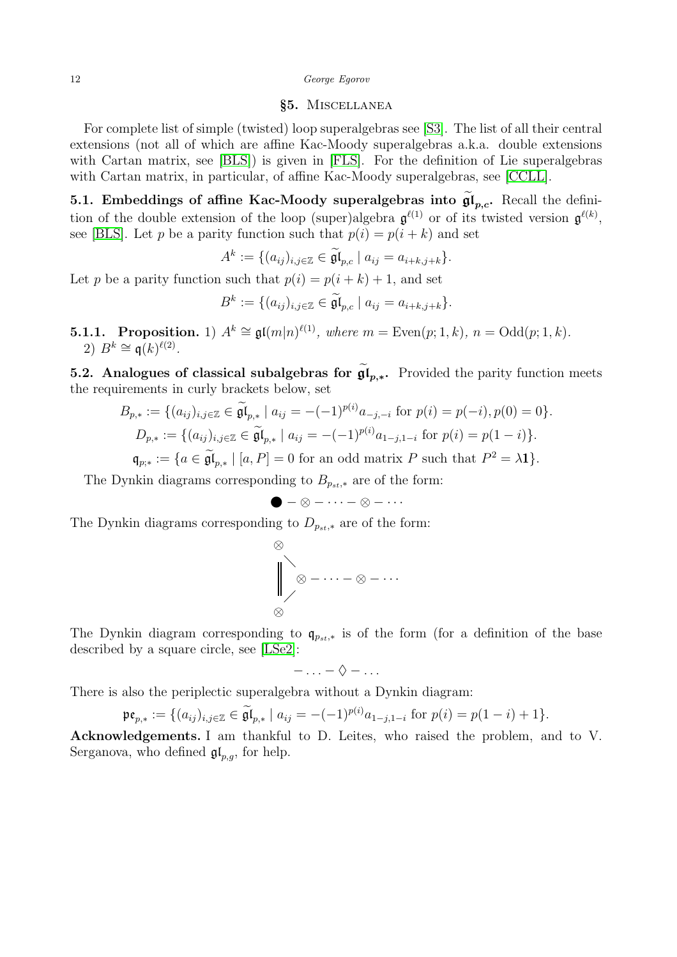## §5. Miscellanea

For complete list of simple (twisted) loop superalgebras see [\[S3\]](#page-14-19). The list of all their central extensions (not all of which are affine Kac-Moody superalgebras a.k.a. double extensions with Cartan matrix, see [\[BLS\]](#page-13-20)) is given in [\[FLS\]](#page-13-21). For the definition of Lie superalgebras with Cartan matrix, in particular, of affine Kac-Moody superalgebras, see [\[CCLL\]](#page-13-5).

5.1. Embeddings of affine Kac-Moody superalgebras into  $\mathfrak{gl}_{p,c}$ . Recall the definition of the double extension of the loop (super)algebra  $\mathfrak{g}^{\ell(1)}$  or of its twisted version  $\mathfrak{g}^{\ell(k)}$ , see [\[BLS\]](#page-13-20). Let p be a parity function such that  $p(i) = p(i + k)$  and set

$$
A^k := \{ (a_{ij})_{i,j \in \mathbb{Z}} \in \widetilde{\mathfrak{gl}}_{p,c} \mid a_{ij} = a_{i+k,j+k} \}.
$$

Let p be a parity function such that  $p(i) = p(i + k) + 1$ , and set

$$
B^k := \{ (a_{ij})_{i,j \in \mathbb{Z}} \in \widetilde{\mathfrak{gl}}_{p,c} \mid a_{ij} = a_{i+k,j+k} \}.
$$

**5.1.1.** Proposition. 1)  $A^k \cong \mathfrak{gl}(m|n)^{\ell(1)}$ , where  $m = \text{Even}(p; 1, k)$ ,  $n = \text{Odd}(p; 1, k)$ . 2)  $B^k \cong \mathfrak{q}(k)^{\ell(2)}$ .

**5.2.** Analogues of classical subalgebras for  $\mathfrak{gl}_{p,*}$ . Provided the parity function meets the requirements in curly brackets below, set

$$
B_{p,*} := \{ (a_{ij})_{i,j \in \mathbb{Z}} \in \widetilde{\mathfrak{gl}}_{p,*} \mid a_{ij} = -(-1)^{p(i)} a_{-j,-i} \text{ for } p(i) = p(-i), p(0) = 0 \}.
$$
  

$$
D_{p,*} := \{ (a_{ij})_{i,j \in \mathbb{Z}} \in \widetilde{\mathfrak{gl}}_{p,*} \mid a_{ij} = -(-1)^{p(i)} a_{1-j,1-i} \text{ for } p(i) = p(1-i) \}.
$$

$$
\mathfrak{q}_{p,*} := \{ a \in \widetilde{\mathfrak{gl}}_{p,*} \mid [a, P] = 0 \text{ for an odd matrix } P \text{ such that } P^2 = \lambda \mathbf{1} \}.
$$

The Dynkin diagrams corresponding to  $B_{p_{st,*}}$  are of the form:

$$
\bullet-\otimes-\cdots-\otimes-\cdots
$$

The Dynkin diagrams corresponding to  $D_{p_{st,*}}$  are of the form:

$$
\bigotimes_{\bigotimes}
$$

The Dynkin diagram corresponding to  $q_{p_{st,*}}$  is of the form (for a definition of the base described by a square circle, see [\[LSe2\]](#page-14-20):

$$
-\ldots-\Diamond-\ldots
$$

There is also the periplectic superalgebra without a Dynkin diagram:

$$
\mathfrak{pe}_{p,*} := \{ (a_{ij})_{i,j \in \mathbb{Z}} \in \widetilde{\mathfrak{gl}}_{p,*} \mid a_{ij} = -(-1)^{p(i)} a_{1-j,1-i} \text{ for } p(i) = p(1-i)+1 \}.
$$

Acknowledgements. I am thankful to D. Leites, who raised the problem, and to V. Serganova, who defined  $\mathfrak{gl}_{p,q}$ , for help.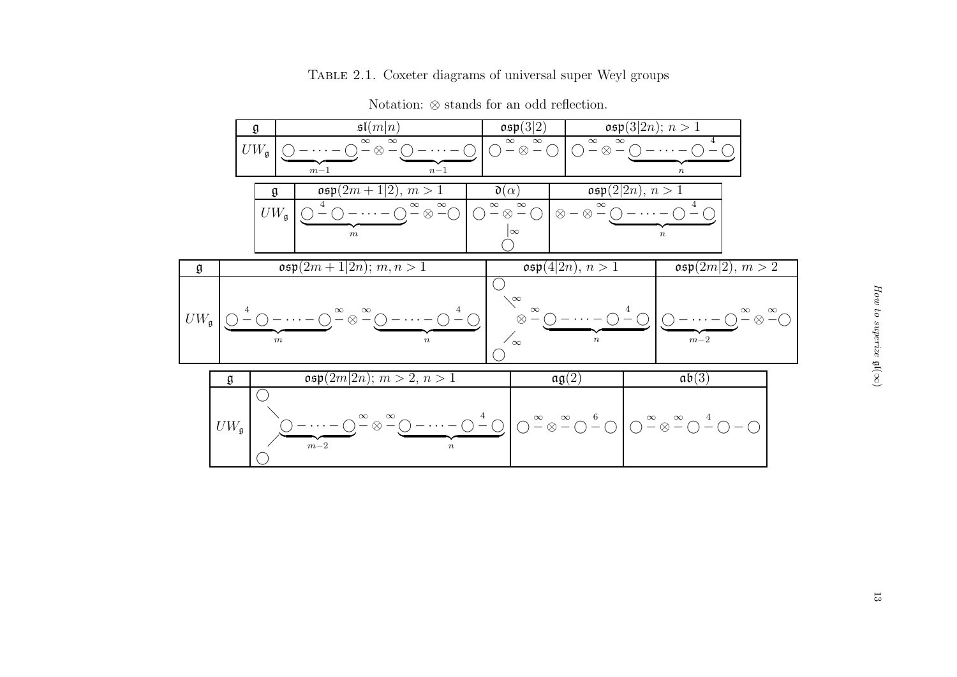# Table 2.1. Coxeter diagrams of universal super Weyl groups

|                     | $\mathfrak{sl}(m n)$<br>$\frak g$                                             |                                                            |                                                                                                                       |           | $\mathfrak{osp}(3 \overline{2})$<br>$\mathfrak{osp}(3 2n); n > 1$                                                                          |                                                                                                                                                                                                                                |  |                                                                  |                               |  |
|---------------------|-------------------------------------------------------------------------------|------------------------------------------------------------|-----------------------------------------------------------------------------------------------------------------------|-----------|--------------------------------------------------------------------------------------------------------------------------------------------|--------------------------------------------------------------------------------------------------------------------------------------------------------------------------------------------------------------------------------|--|------------------------------------------------------------------|-------------------------------|--|
|                     | $\infty$<br>$\infty$<br>$UW_{\mathfrak{g}}$<br>$-\otimes -$<br>$m-1$<br>$n-1$ |                                                            |                                                                                                                       |           | $\overset{\infty}{-}\otimes \overset{\infty}{-}\bigcirc$<br>$\infty$<br>$\infty$<br>$ \otimes$ $-$<br>$\bigcap$<br>$- \cdot \cdot \cdot -$ |                                                                                                                                                                                                                                |  |                                                                  |                               |  |
|                     |                                                                               | $\mathfrak{osp}(2m+1\overline{ 2)}, m>1$<br>$\mathfrak{g}$ |                                                                                                                       |           |                                                                                                                                            | $\boldsymbol{n}$<br>$\mathfrak{osp}(2 2n), n>1$<br>$\mathfrak{d}(\alpha)$<br>$\infty$<br>4<br>$\infty$                                                                                                                         |  |                                                                  |                               |  |
|                     |                                                                               | $UW_{\mathfrak{g}}$                                        | $-\otimes -\overline{\circ}$<br>$( \ )$<br>$\boldsymbol{m}$                                                           | $\otimes$ | $\frac{\infty}{\,}$<br>$\infty$                                                                                                            | $\otimes - \otimes -$                                                                                                                                                                                                          |  | $\, n$                                                           |                               |  |
| $\frak g$           |                                                                               |                                                            | $\mathfrak{osp}(2m+1 2n); m, n > 1$                                                                                   |           | $\overline{\mathfrak{osp}(4 2n)}, n>1$                                                                                                     |                                                                                                                                                                                                                                |  | $\mathfrak{osp}(2m 2), m > 2$                                    |                               |  |
| $UW_{\mathfrak{g}}$ |                                                                               | $\boldsymbol{m}$                                           | $-\infty$ $-\infty$<br>$\boldsymbol{n}$                                                                               |           | $\searrow$<br>$\infty$<br>$\otimes$<br>$\sqrt{\infty}$                                                                                     | $- \cdot \cdot \cdot$ $-$<br>$\boldsymbol{n}$                                                                                                                                                                                  |  | $m\!-\!2$                                                        | $-\otimes -\circlearrowright$ |  |
|                     | $\frak g$                                                                     |                                                            | $\overline{\mathfrak{osp}(2m 2n)}$ ; $m > 2, n > 1$                                                                   |           |                                                                                                                                            | $\mathfrak{ag}(2)$                                                                                                                                                                                                             |  | ab(3)                                                            |                               |  |
|                     | $UW_{\mathfrak{g}}$                                                           |                                                            | $\overset{\infty}{\mathop{-\otimes}} \overset{\infty}{\mathop{-\odot}} \mathop{-\cdots}\mathop{-}$<br>$m-2$<br>$\, n$ |           |                                                                                                                                            | $\bigcirc$ $\left. \begin{array}{c} 4 \\ -\bigcirc \end{array} \right $ $\bigcirc$ $\left. \begin{array}{c} \infty \\ \infty \end{array} \right $ $\bigcirc$ $\left. \begin{array}{c} \infty \\ -\bigcirc \end{array} \right $ |  | $\bigcirc^{\infty} \otimes \cdots \otimes \cdots \otimes \cdots$ |                               |  |

 $\bigcirc$ 

Notation: ⊗ stands for an odd reflection.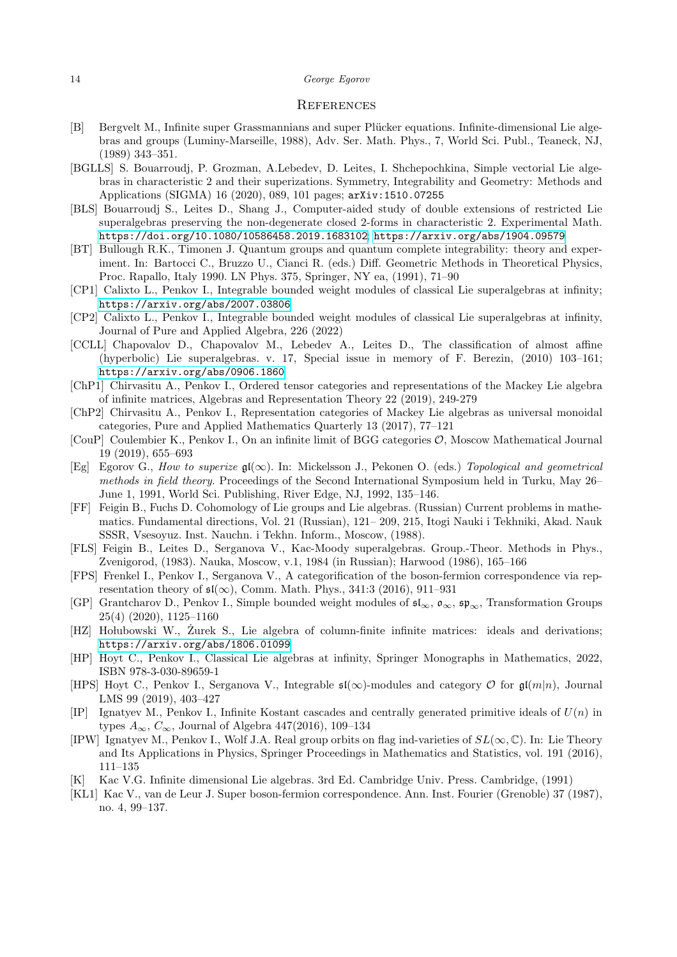#### 14 George Egorov

## **REFERENCES**

- <span id="page-13-1"></span>[B] Bergvelt M., Infinite super Grassmannians and super Plücker equations. Infinite-dimensional Lie algebras and groups (Luminy-Marseille, 1988), Adv. Ser. Math. Phys., 7, World Sci. Publ., Teaneck, NJ, (1989) 343–351.
- <span id="page-13-6"></span>[BGLLS] S. Bouarroudj, P. Grozman, A.Lebedev, D. Leites, I. Shchepochkina, Simple vectorial Lie algebras in characteristic 2 and their superizations. Symmetry, Integrability and Geometry: Methods and Applications (SIGMA) 16 (2020), 089, 101 pages; arXiv:1510.07255
- <span id="page-13-20"></span>[BLS] Bouarroudj S., Leites D., Shang J., Computer-aided study of double extensions of restricted Lie superalgebras preserving the non-degenerate closed 2-forms in characteristic 2. Experimental Math. <https://doi.org/10.1080/10586458.2019.1683102>; <https://arxiv.org/abs/1904.09579>
- <span id="page-13-7"></span>[BT] Bullough R.K., Timonen J. Quantum groups and quantum complete integrability: theory and experiment. In: Bartocci C., Bruzzo U., Cianci R. (eds.) Diff. Geometric Methods in Theoretical Physics, Proc. Rapallo, Italy 1990. LN Phys. 375, Springer, NY ea, (1991), 71–90
- <span id="page-13-16"></span>[CP1] Calixto L., Penkov I., Integrable bounded weight modules of classical Lie superalgebras at infinity; <https://arxiv.org/abs/2007.03806>
- <span id="page-13-17"></span>[CP2] Calixto L., Penkov I., Integrable bounded weight modules of classical Lie superalgebras at infinity, Journal of Pure and Applied Algebra, 226 (2022)
- <span id="page-13-5"></span>[CCLL] Chapovalov D., Chapovalov M., Lebedev A., Leites D., The classification of almost affine (hyperbolic) Lie superalgebras. v. 17, Special issue in memory of F. Berezin, (2010) 103–161; <https://arxiv.org/abs/0906.1860>
- <span id="page-13-11"></span>[ChP1] Chirvasitu A., Penkov I., Ordered tensor categories and representations of the Mackey Lie algebra of infinite matrices, Algebras and Representation Theory 22 (2019), 249-279
- <span id="page-13-12"></span>[ChP2] Chirvasitu A., Penkov I., Representation categories of Mackey Lie algebras as universal monoidal categories, Pure and Applied Mathematics Quarterly 13 (2017), 77–121
- <span id="page-13-14"></span>[CouP] Coulembier K., Penkov I., On an infinite limit of BGG categories O, Moscow Mathematical Journal 19 (2019), 655–693
- <span id="page-13-0"></span>[Eg] Egorov G., *How to superize* gl(∞). In: Mickelsson J., Pekonen O. (eds.) *Topological and geometrical methods in field theory*. Proceedings of the Second International Symposium held in Turku, May 26– June 1, 1991, World Sci. Publishing, River Edge, NJ, 1992, 135–146.
- <span id="page-13-4"></span>[FF] Feigin B., Fuchs D. Cohomology of Lie groups and Lie algebras. (Russian) Current problems in mathematics. Fundamental directions, Vol. 21 (Russian), 121– 209, 215, Itogi Nauki i Tekhniki, Akad. Nauk SSSR, Vsesoyuz. Inst. Nauchn. i Tekhn. Inform., Moscow, (1988).
- <span id="page-13-21"></span>[FLS] Feigin B., Leites D., Serganova V., Kac-Moody superalgebras. Group.-Theor. Methods in Phys., Zvenigorod, (1983). Nauka, Moscow, v.1, 1984 (in Russian); Harwood (1986), 165–166
- <span id="page-13-8"></span>[FPS] Frenkel I., Penkov I., Serganova V., A categorification of the boson-fermion correspondence via representation theory of  $\mathfrak{sl}(\infty)$ , Comm. Math. Phys., 341:3 (2016), 911–931
- <span id="page-13-15"></span>[GP] Grantcharov D., Penkov I., Simple bounded weight modules of  $\mathfrak{sl}_{\infty}$ ,  $\mathfrak{o}_{\infty}$ ,  $\mathfrak{sp}_{\infty}$ , Transformation Groups 25(4) (2020), 1125–1160
- <span id="page-13-19"></span>[HZ] Holubowski W., Zurek S., Lie algebra of column-finite infinite matrices: ideals and derivations; <https://arxiv.org/abs/1806.01099>
- <span id="page-13-18"></span>[HP] Hoyt C., Penkov I., Classical Lie algebras at infinity, Springer Monographs in Mathematics, 2022, ISBN 978-3-030-89659-1
- <span id="page-13-13"></span>[HPS] Hoyt C., Penkov I., Serganova V., Integrable  $\mathfrak{sl}(\infty)$ -modules and category  $\mathcal O$  for  $\mathfrak{gl}(m|n)$ , Journal LMS 99 (2019), 403–427
- <span id="page-13-9"></span>[IP] Ignatyev M., Penkov I., Infinite Kostant cascades and centrally generated primitive ideals of  $U(n)$  in types  $A_{\infty}$ ,  $C_{\infty}$ , Journal of Algebra 447(2016), 109–134
- <span id="page-13-10"></span>[IPW] Ignatyev M., Penkov I., Wolf J.A. Real group orbits on flag ind-varieties of  $SL(\infty, \mathbb{C})$ . In: Lie Theory and Its Applications in Physics, Springer Proceedings in Mathematics and Statistics, vol. 191 (2016), 111–135
- <span id="page-13-2"></span>[K] Kac V.G. Infinite dimensional Lie algebras. 3rd Ed. Cambridge Univ. Press. Cambridge, (1991)
- <span id="page-13-3"></span>[KL1] Kac V., van de Leur J. Super boson-fermion correspondence. Ann. Inst. Fourier (Grenoble) 37 (1987), no. 4, 99–137.